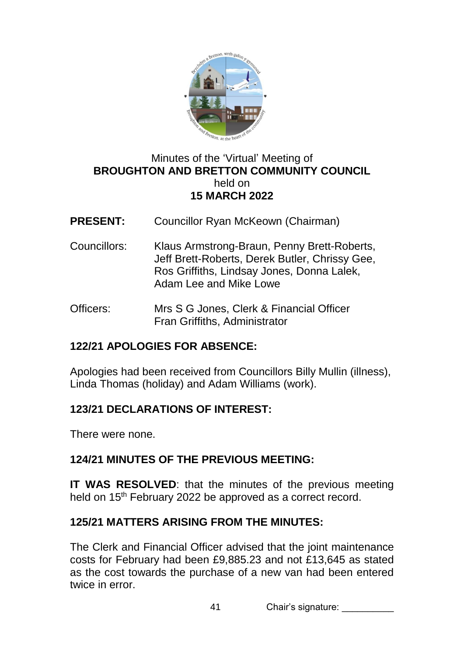

### Minutes of the 'Virtual' Meeting of **BROUGHTON AND BRETTON COMMUNITY COUNCIL**  held on **15 MARCH 2022**

- **PRESENT:** Councillor Ryan McKeown (Chairman)
- Councillors: Klaus Armstrong-Braun, Penny Brett-Roberts, Jeff Brett-Roberts, Derek Butler, Chrissy Gee, Ros Griffiths, Lindsay Jones, Donna Lalek, Adam Lee and Mike Lowe
- Officers: Mrs S G Jones, Clerk & Financial Officer Fran Griffiths, Administrator

# **122/21 APOLOGIES FOR ABSENCE:**

Apologies had been received from Councillors Billy Mullin (illness), Linda Thomas (holiday) and Adam Williams (work).

# **123/21 DECLARATIONS OF INTEREST:**

There were none.

#### **124/21 MINUTES OF THE PREVIOUS MEETING:**

**IT WAS RESOLVED**: that the minutes of the previous meeting held on 15<sup>th</sup> February 2022 be approved as a correct record.

#### **125/21 MATTERS ARISING FROM THE MINUTES:**

The Clerk and Financial Officer advised that the joint maintenance costs for February had been £9,885.23 and not £13,645 as stated as the cost towards the purchase of a new van had been entered twice in error.

41 Chair's signature: \_\_\_\_\_\_\_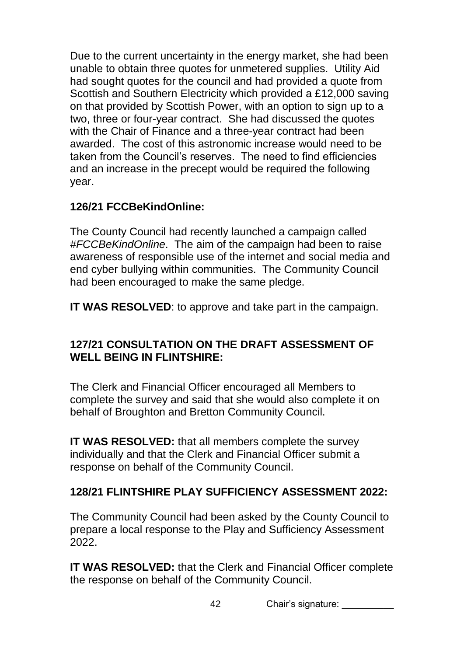Due to the current uncertainty in the energy market, she had been unable to obtain three quotes for unmetered supplies. Utility Aid had sought quotes for the council and had provided a quote from Scottish and Southern Electricity which provided a £12,000 saving on that provided by Scottish Power, with an option to sign up to a two, three or four-year contract. She had discussed the quotes with the Chair of Finance and a three-year contract had been awarded. The cost of this astronomic increase would need to be taken from the Council's reserves. The need to find efficiencies and an increase in the precept would be required the following year.

### **126/21 FCCBeKindOnline:**

The County Council had recently launched a campaign called *#FCCBeKindOnline*. The aim of the campaign had been to raise awareness of responsible use of the internet and social media and end cyber bullying within communities. The Community Council had been encouraged to make the same pledge.

**IT WAS RESOLVED**: to approve and take part in the campaign.

# **127/21 CONSULTATION ON THE DRAFT ASSESSMENT OF WELL BEING IN FLINTSHIRE:**

The Clerk and Financial Officer encouraged all Members to complete the survey and said that she would also complete it on behalf of Broughton and Bretton Community Council.

**IT WAS RESOLVED:** that all members complete the survey individually and that the Clerk and Financial Officer submit a response on behalf of the Community Council.

# **128/21 FLINTSHIRE PLAY SUFFICIENCY ASSESSMENT 2022:**

The Community Council had been asked by the County Council to prepare a local response to the Play and Sufficiency Assessment 2022.

**IT WAS RESOLVED:** that the Clerk and Financial Officer complete the response on behalf of the Community Council.

42 Chair's signature: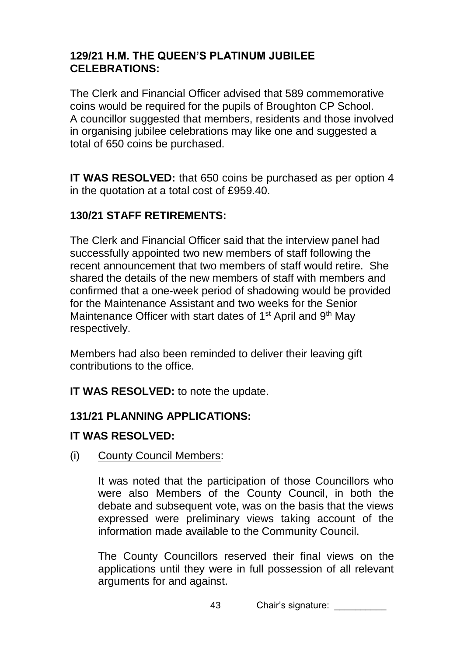### **129/21 H.M. THE QUEEN'S PLATINUM JUBILEE CELEBRATIONS:**

The Clerk and Financial Officer advised that 589 commemorative coins would be required for the pupils of Broughton CP School. A councillor suggested that members, residents and those involved in organising jubilee celebrations may like one and suggested a total of 650 coins be purchased.

**IT WAS RESOLVED:** that 650 coins be purchased as per option 4 in the quotation at a total cost of £959.40.

# **130/21 STAFF RETIREMENTS:**

The Clerk and Financial Officer said that the interview panel had successfully appointed two new members of staff following the recent announcement that two members of staff would retire. She shared the details of the new members of staff with members and confirmed that a one-week period of shadowing would be provided for the Maintenance Assistant and two weeks for the Senior Maintenance Officer with start dates of 1<sup>st</sup> April and 9<sup>th</sup> May respectively.

Members had also been reminded to deliver their leaving gift contributions to the office.

**IT WAS RESOLVED:** to note the update.

# **131/21 PLANNING APPLICATIONS:**

# **IT WAS RESOLVED:**

(i) County Council Members:

It was noted that the participation of those Councillors who were also Members of the County Council, in both the debate and subsequent vote, was on the basis that the views expressed were preliminary views taking account of the information made available to the Community Council.

The County Councillors reserved their final views on the applications until they were in full possession of all relevant arguments for and against.

43 Chair's signature: \_\_\_\_\_\_\_\_\_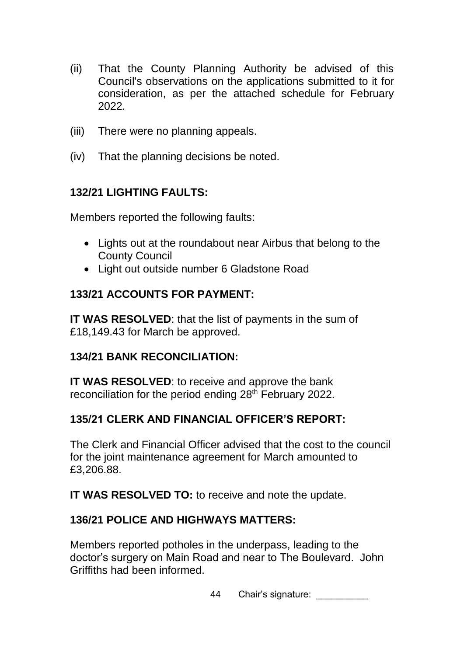- (ii) That the County Planning Authority be advised of this Council's observations on the applications submitted to it for consideration, as per the attached schedule for February 2022*.*
- (iii) There were no planning appeals.
- (iv) That the planning decisions be noted.

### **132/21 LIGHTING FAULTS:**

Members reported the following faults:

- Lights out at the roundabout near Airbus that belong to the County Council
- Light out outside number 6 Gladstone Road

### **133/21 ACCOUNTS FOR PAYMENT:**

**IT WAS RESOLVED:** that the list of payments in the sum of £18,149.43 for March be approved.

#### **134/21 BANK RECONCILIATION:**

**IT WAS RESOLVED**: to receive and approve the bank reconciliation for the period ending 28<sup>th</sup> February 2022.

# **135/21 CLERK AND FINANCIAL OFFICER'S REPORT:**

The Clerk and Financial Officer advised that the cost to the council for the joint maintenance agreement for March amounted to £3,206.88.

**IT WAS RESOLVED TO:** to receive and note the update.

#### **136/21 POLICE AND HIGHWAYS MATTERS:**

Members reported potholes in the underpass, leading to the doctor's surgery on Main Road and near to The Boulevard. John Griffiths had been informed.

44 Chair's signature: \_\_\_\_\_\_\_\_\_\_